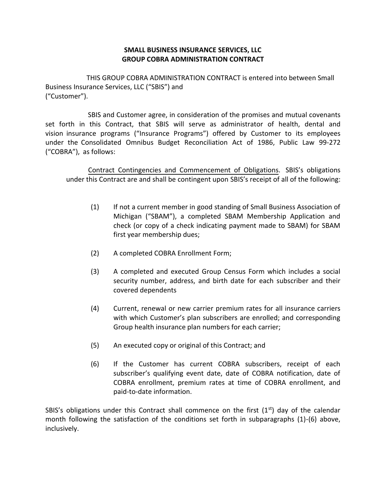## **SMALL BUSINESS INSURANCE SERVICES, LLC GROUP COBRA ADMINISTRATION CONTRACT**

THIS GROUP COBRA ADMINISTRATION CONTRACT is entered into between Small Business Insurance Services, LLC ("SBIS") and ("Customer").

 SBIS and Customer agree, in consideration of the promises and mutual covenants set forth in this Contract, that SBIS will serve as administrator of health, dental and vision insurance programs ("Insurance Programs") offered by Customer to its employees under the Consolidated Omnibus Budget Reconciliation Act of 1986, Public Law 99-272 ("COBRA"), as follows:

 Contract Contingencies and Commencement of Obligations. SBIS's obligations under this Contract are and shall be contingent upon SBIS's receipt of all of the following:

- (1) If not a current member in good standing of Small Business Association of Michigan ("SBAM"), a completed SBAM Membership Application and check (or copy of a check indicating payment made to SBAM) for SBAM first year membership dues;
- (2) A completed COBRA Enrollment Form;
- (3) A completed and executed Group Census Form which includes a social security number, address, and birth date for each subscriber and their covered dependents
- (4) Current, renewal or new carrier premium rates for all insurance carriers with which Customer's plan subscribers are enrolled; and corresponding Group health insurance plan numbers for each carrier;
- (5) An executed copy or original of this Contract; and
- (6) If the Customer has current COBRA subscribers, receipt of each subscriber's qualifying event date, date of COBRA notification, date of COBRA enrollment, premium rates at time of COBRA enrollment, and paid-to-date information.

SBIS's obligations under this Contract shall commence on the first  $(1<sup>st</sup>)$  day of the calendar month following the satisfaction of the conditions set forth in subparagraphs (1)-(6) above, inclusively.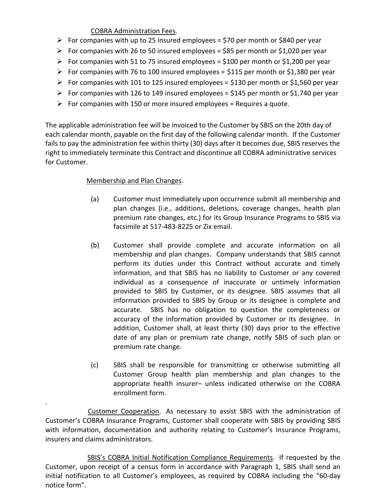## COBRA Administration Fees.

- For companies with up to 25 insured employees = \$70 per month or \$840 per year
- For companies with 26 to 50 insured employees = \$85 per month or \$1,020 per year
- For companies with 51 to 75 insured employees = \$100 per month or \$1,200 per year
- For companies with 76 to 100 insured employees = \$115 per month or \$1,380 per year
- For companies with 101 to 125 insured employees = \$130 per month or \$1,560 per year
- For companies with 126 to 149 insured employees = \$145 per month or \$1,740 per year
- $\triangleright$  For companies with 150 or more insured employees = Requires a quote.

The applicable administration fee will be invoiced to the Customer by SBIS on the 20th day of each calendar month, payable on the first day of the following calendar month. If the Customer fails to pay the administration fee within thirty (30) days after it becomes due, SBIS reserves the right to immediately terminate this Contract and discontinue all COBRA administrative services for Customer.

## Membership and Plan Changes.

- (a) Customer must immediately upon occurrence submit all membership and plan changes (i.e., additions, deletions, coverage changes, health plan premium rate changes, etc.) for its Group Insurance Programs to SBIS via facsimile at 517-483-8225 or Zix email.
- (b) Customer shall provide complete and accurate information on all membership and plan changes. Company understands that SBIS cannot perform its duties under this Contract without accurate and timely information, and that SBIS has no liability to Customer or any covered individual as a consequence of inaccurate or untimely information provided to SBIS by Customer, or its designee. SBIS assumes that all information provided to SBIS by Group or its designee is complete and accurate. SBIS has no obligation to question the completeness or accuracy of the information provided by Customer or its designee. In addition, Customer shall, at least thirty (30) days prior to the effective date of any plan or premium rate change, notify SBIS of such plan or premium rate change.
- (c) SBIS shall be responsible for transmitting or otherwise submitting all Customer Group health plan membership and plan changes to the appropriate health insurer– unless indicated otherwise on the COBRA enrollment form.

. Customer Cooperation. As necessary to assist SBIS with the administration of Customer's COBRA Insurance Programs, Customer shall cooperate with SBIS by providing SBIS with information, documentation and authority relating to Customer's Insurance Programs, insurers and claims administrators.

 SBIS's COBRA Initial Notification Compliance Requirements. If requested by the Customer, upon receipt of a census form in accordance with Paragraph 1, SBIS shall send an initial notification to all Customer's employees, as required by COBRA including the "60-day notice form".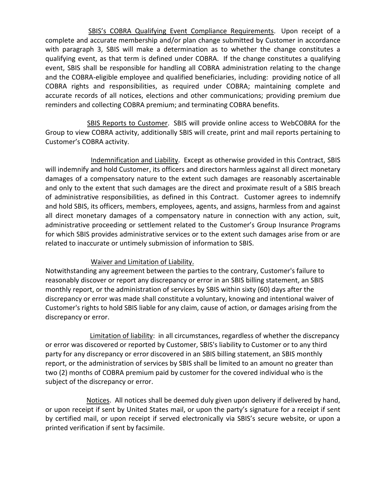SBIS's COBRA Qualifying Event Compliance Requirements. Upon receipt of a complete and accurate membership and/or plan change submitted by Customer in accordance with paragraph 3, SBIS will make a determination as to whether the change constitutes a qualifying event, as that term is defined under COBRA. If the change constitutes a qualifying event, SBIS shall be responsible for handling all COBRA administration relating to the change and the COBRA-eligible employee and qualified beneficiaries, including: providing notice of all COBRA rights and responsibilities, as required under COBRA; maintaining complete and accurate records of all notices, elections and other communications; providing premium due reminders and collecting COBRA premium; and terminating COBRA benefits.

 SBIS Reports to Customer. SBIS will provide online access to WebCOBRA for the Group to view COBRA activity, additionally SBIS will create, print and mail reports pertaining to Customer's COBRA activity.

Indemnification and Liability. Except as otherwise provided in this Contract, SBIS will indemnify and hold Customer, its officers and directors harmless against all direct monetary damages of a compensatory nature to the extent such damages are reasonably ascertainable and only to the extent that such damages are the direct and proximate result of a SBIS breach of administrative responsibilities, as defined in this Contract. Customer agrees to indemnify and hold SBIS, its officers, members, employees, agents, and assigns, harmless from and against all direct monetary damages of a compensatory nature in connection with any action, suit, administrative proceeding or settlement related to the Customer's Group Insurance Programs for which SBIS provides administrative services or to the extent such damages arise from or are related to inaccurate or untimely submission of information to SBIS.

## Waiver and Limitation of Liability.

Notwithstanding any agreement between the parties to the contrary, Customer's failure to reasonably discover or report any discrepancy or error in an SBIS billing statement, an SBIS monthly report, or the administration of services by SBIS within sixty (60) days after the discrepancy or error was made shall constitute a voluntary, knowing and intentional waiver of Customer's rights to hold SBIS liable for any claim, cause of action, or damages arising from the discrepancy or error.

 Limitation of liability: in all circumstances, regardless of whether the discrepancy or error was discovered or reported by Customer, SBIS's liability to Customer or to any third party for any discrepancy or error discovered in an SBIS billing statement, an SBIS monthly report, or the administration of services by SBIS shall be limited to an amount no greater than two (2) months of COBRA premium paid by customer for the covered individual who is the subject of the discrepancy or error.

 Notices. All notices shall be deemed duly given upon delivery if delivered by hand, or upon receipt if sent by United States mail, or upon the party's signature for a receipt if sent by certified mail, or upon receipt if served electronically via SBIS's secure website, or upon a printed verification if sent by facsimile.